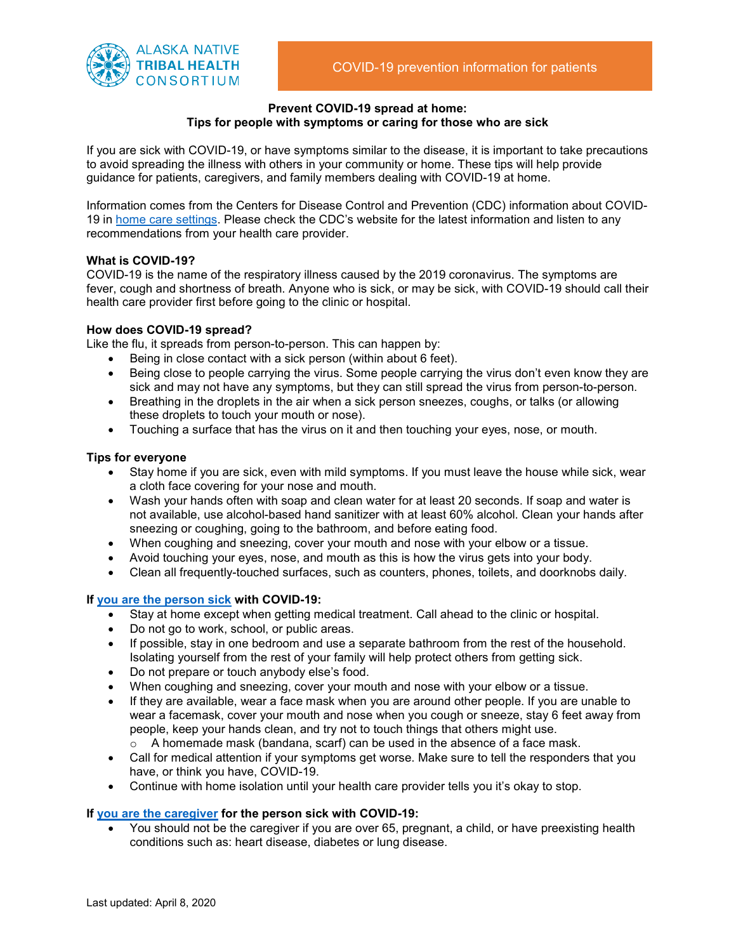

#### **Prevent COVID-19 spread at home: Tips for people with symptoms or caring for those who are sick**

If you are sick with COVID-19, or have symptoms similar to the disease, it is important to take precautions to avoid spreading the illness with others in your community or home. These tips will help provide guidance for patients, caregivers, and family members dealing with COVID-19 at home.

Information comes from the Centers for Disease Control and Prevention (CDC) information about COVID-19 in [home care settings.](https://www.cdc.gov/coronavirus/2019-ncov/hcp/guidance-prevent-spread.html) Please check the CDC's website for the latest information and listen to any recommendations from your health care provider.

## **What is COVID-19?**

COVID-19 is the name of the respiratory illness caused by the 2019 coronavirus. The symptoms are fever, cough and shortness of breath. Anyone who is sick, or may be sick, with COVID-19 should call their health care provider first before going to the clinic or hospital.

## **How does COVID-19 spread?**

Like the flu, it spreads from person-to-person. This can happen by:

- Being in close contact with a sick person (within about 6 feet).
- Being close to people carrying the virus. Some people carrying the virus don't even know they are sick and may not have any symptoms, but they can still spread the virus from person-to-person.
- Breathing in the droplets in the air when a sick person sneezes, coughs, or talks (or allowing these droplets to touch your mouth or nose).
- Touching a surface that has the virus on it and then touching your eyes, nose, or mouth.

### **Tips for everyone**

- Stay home if you are sick, even with mild symptoms. If you must leave the house while sick, wear a cloth face covering for your nose and mouth.
- Wash your hands often with soap and clean water for at least 20 seconds. If soap and water is not available, use alcohol-based hand sanitizer with at least 60% alcohol. Clean your hands after sneezing or coughing, going to the bathroom, and before eating food.
- When coughing and sneezing, cover your mouth and nose with your elbow or a tissue.
- Avoid touching your eyes, nose, and mouth as this is how the virus gets into your body.
- Clean all frequently-touched surfaces, such as counters, phones, toilets, and doorknobs daily.

### **If [you are the person sick](https://www.cdc.gov/coronavirus/2019-ncov/if-you-are-sick/steps-when-sick.html) with COVID-19:**

- Stay at home except when getting medical treatment. Call ahead to the clinic or hospital.
- Do not go to work, school, or public areas.
- If possible, stay in one bedroom and use a separate bathroom from the rest of the household. Isolating yourself from the rest of your family will help protect others from getting sick.
- Do not prepare or touch anybody else's food.
- When coughing and sneezing, cover your mouth and nose with your elbow or a tissue.
- If they are available, wear a face mask when you are around other people. If you are unable to wear a facemask, cover your mouth and nose when you cough or sneeze, stay 6 feet away from people, keep your hands clean, and try not to touch things that others might use.
	- $\circ$  A homemade mask (bandana, scarf) can be used in the absence of a face mask.
- Call for medical attention if your symptoms get worse. Make sure to tell the responders that you have, or think you have, COVID-19.
- Continue with home isolation until your health care provider tells you it's okay to stop.

# **If [you are the caregiver](https://www.cdc.gov/coronavirus/2019-ncov/if-you-are-sick/care-for-someone.html) for the person sick with COVID-19:**

• You should not be the caregiver if you are over 65, pregnant, a child, or have preexisting health conditions such as: heart disease, diabetes or lung disease.